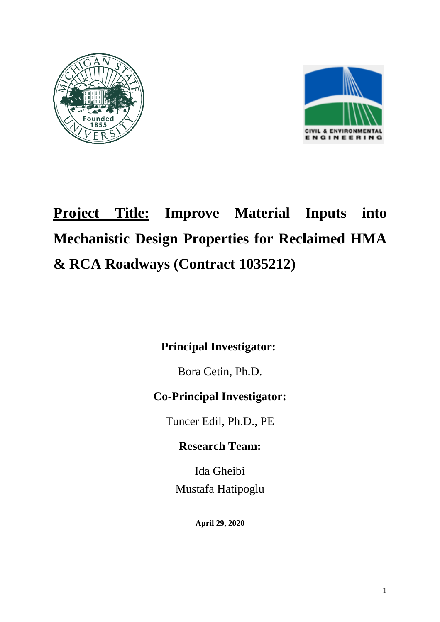



# **Project Title: Improve Material Inputs into Mechanistic Design Properties for Reclaimed HMA & RCA Roadways (Contract 1035212)**

**Principal Investigator:** 

Bora Cetin, Ph.D.

## **Co-Principal Investigator:**

Tuncer Edil, Ph.D., PE

### **Research Team:**

Ida Gheibi Mustafa Hatipoglu

**April 29, 2020**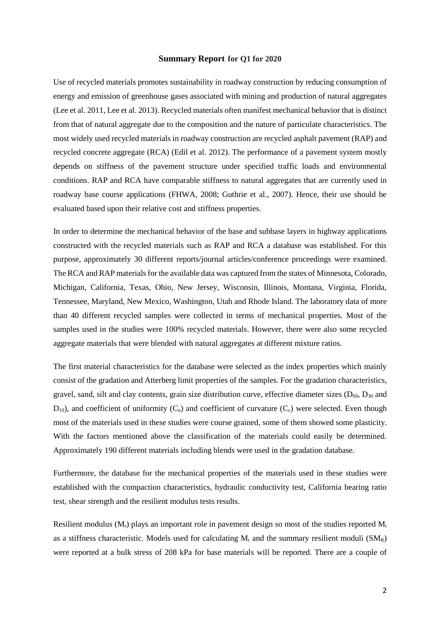#### **Summary Report for Q1 for 2020**

Use of recycled materials promotes sustainability in roadway construction by reducing consumption of energy and emission of greenhouse gases associated with mining and production of natural aggregates (Lee et al. 2011, Lee et al. 2013). Recycled materials often manifest mechanical behavior that is distinct from that of natural aggregate due to the composition and the nature of particulate characteristics. The most widely used recycled materials in roadway construction are recycled asphalt pavement (RAP) and recycled concrete aggregate (RCA) (Edil et al. 2012). The performance of a pavement system mostly depends on stiffness of the pavement structure under specified traffic loads and environmental conditions. RAP and RCA have comparable stiffness to natural aggregates that are currently used in roadway base course applications (FHWA, 2008; Guthrie et al., 2007). Hence, their use should be evaluated based upon their relative cost and stiffness properties.

In order to determine the mechanical behavior of the base and subbase layers in highway applications constructed with the recycled materials such as RAP and RCA a database was established. For this purpose, approximately 30 different reports/journal articles/conference proceedings were examined. The RCA and RAP materials for the available data was captured from the states of Minnesota, Colorado, Michigan, California, Texas, Ohio, New Jersey, Wisconsin, Illinois, Montana, Virginia, Florida, Tennessee, Maryland, New Mexico, Washington, Utah and Rhode Island. The laboratory data of more than 40 different recycled samples were collected in terms of mechanical properties. Most of the samples used in the studies were 100% recycled materials. However, there were also some recycled aggregate materials that were blended with natural aggregates at different mixture ratios.

The first material characteristics for the database were selected as the index properties which mainly consist of the gradation and Atterberg limit properties of the samples. For the gradation characteristics, gravel, sand, silt and clay contents, grain size distribution curve, effective diameter sizes  $(D_{60}, D_{30}$  and  $D_{10}$ ), and coefficient of uniformity ( $C_u$ ) and coefficient of curvature ( $C_c$ ) were selected. Even though most of the materials used in these studies were course grained, some of them showed some plasticity. With the factors mentioned above the classification of the materials could easily be determined. Approximately 190 different materials including blends were used in the gradation database.

Furthermore, the database for the mechanical properties of the materials used in these studies were established with the compaction characteristics, hydraulic conductivity test, California bearing ratio test, shear strength and the resilient modulus tests results.

Resilient modulus  $(M_r)$  plays an important role in pavement design so most of the studies reported  $M_r$ as a stiffness characteristic. Models used for calculating  $M_r$  and the summary resilient moduli ( $SM_R$ ) were reported at a bulk stress of 208 kPa for base materials will be reported. There are a couple of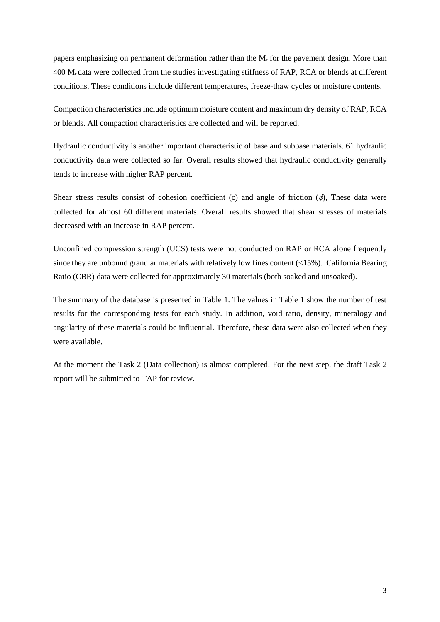papers emphasizing on permanent deformation rather than the  $M_r$  for the pavement design. More than 400 Mr data were collected from the studies investigating stiffness of RAP, RCA or blends at different conditions. These conditions include different temperatures, freeze-thaw cycles or moisture contents.

Compaction characteristics include optimum moisture content and maximum dry density of RAP, RCA or blends. All compaction characteristics are collected and will be reported.

Hydraulic conductivity is another important characteristic of base and subbase materials. 61 hydraulic conductivity data were collected so far. Overall results showed that hydraulic conductivity generally tends to increase with higher RAP percent.

Shear stress results consist of cohesion coefficient (c) and angle of friction  $(\phi)$ , These data were collected for almost 60 different materials. Overall results showed that shear stresses of materials decreased with an increase in RAP percent.

Unconfined compression strength (UCS) tests were not conducted on RAP or RCA alone frequently since they are unbound granular materials with relatively low fines content (<15%). California Bearing Ratio (CBR) data were collected for approximately 30 materials (both soaked and unsoaked).

The summary of the database is presented in Table 1. The values in Table 1 show the number of test results for the corresponding tests for each study. In addition, void ratio, density, mineralogy and angularity of these materials could be influential. Therefore, these data were also collected when they were available.

At the moment the Task 2 (Data collection) is almost completed. For the next step, the draft Task 2 report will be submitted to TAP for review.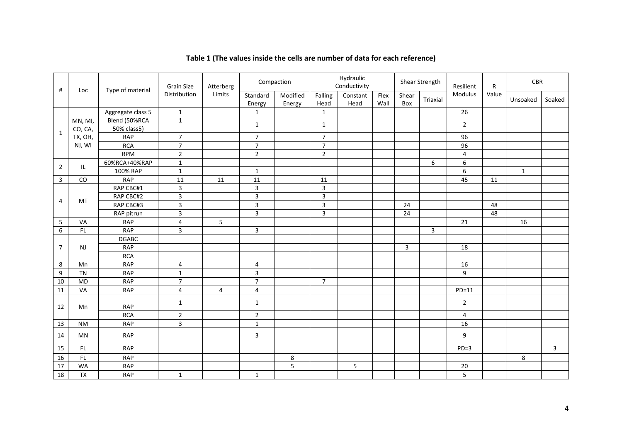| #               | Loc        | Type of material  | <b>Grain Size</b><br>Distribution | Atterberg<br>Limits | Compaction              |                    | Hydraulic<br>Conductivity |                  |              | Shear Strength |          | Resilient      | R     | CBR          |                         |
|-----------------|------------|-------------------|-----------------------------------|---------------------|-------------------------|--------------------|---------------------------|------------------|--------------|----------------|----------|----------------|-------|--------------|-------------------------|
|                 |            |                   |                                   |                     | Standard<br>Energy      | Modified<br>Energy | Falling<br>Head           | Constant<br>Head | Flex<br>Wall | Shear<br>Box   | Triaxial | Modulus        | Value | Unsoaked     | Soaked                  |
| $\mathbf{1}$    |            | Aggregate class 5 | $\mathbf{1}$                      |                     | $\mathbf{1}$            |                    | $\mathbf{1}$              |                  |              |                |          | 26             |       |              |                         |
|                 | MN, MI,    | Blend (50%RCA     | $\mathbf{1}$                      |                     | $\mathbf{1}$            |                    | $\mathbf{1}$              |                  |              |                |          | $\overline{2}$ |       |              |                         |
|                 | CO, CA,    | 50% class5)       |                                   |                     |                         |                    |                           |                  |              |                |          |                |       |              |                         |
|                 | TX, OH,    | <b>RAP</b>        | $\overline{7}$                    |                     | $\overline{7}$          |                    | $\overline{7}$            |                  |              |                |          | 96             |       |              |                         |
|                 | NJ, WI     | <b>RCA</b>        | $\overline{7}$                    |                     | $\overline{7}$          |                    | $\overline{7}$            |                  |              |                |          | 96             |       |              |                         |
|                 |            | <b>RPM</b>        | $\sqrt{2}$                        |                     | $\mathbf 2$             |                    | $\overline{2}$            |                  |              |                |          | $\overline{4}$ |       |              |                         |
| $\overline{2}$  | IL         | 60%RCA+40%RAP     | $\mathbf{1}$                      |                     |                         |                    |                           |                  |              |                | 6        | 6              |       |              |                         |
|                 |            | 100% RAP          | $\,1\,$                           |                     | $\mathbf{1}$            |                    |                           |                  |              |                |          | 6              |       | $\mathbf{1}$ |                         |
| $\mathbf{3}$    | ${\rm CO}$ | <b>RAP</b>        | 11                                | 11                  | 11                      |                    | 11                        |                  |              |                |          | 45             | 11    |              |                         |
| $\overline{4}$  | MT         | RAP CBC#1         | $\mathsf 3$                       |                     | $\overline{3}$          |                    | 3                         |                  |              |                |          |                |       |              |                         |
|                 |            | RAP CBC#2         | $\overline{3}$                    |                     | $\overline{3}$          |                    | $\overline{3}$            |                  |              |                |          |                |       |              |                         |
|                 |            | RAP CBC#3         | $\overline{\mathbf{3}}$           |                     | $\overline{\mathbf{3}}$ |                    | $\overline{3}$            |                  |              | 24             |          |                | 48    |              |                         |
|                 |            | RAP pitrun        | $\overline{\mathbf{3}}$           |                     | $\overline{3}$          |                    | $\overline{3}$            |                  |              | 24             |          |                | 48    |              |                         |
| 5               | VA         | <b>RAP</b>        | 4                                 | 5                   |                         |                    |                           |                  |              |                |          | 21             |       | 16           |                         |
| 6               | FL         | <b>RAP</b>        | 3                                 |                     | 3                       |                    |                           |                  |              |                | 3        |                |       |              |                         |
| $\overline{7}$  | <b>NJ</b>  | <b>DGABC</b>      |                                   |                     |                         |                    |                           |                  |              |                |          |                |       |              |                         |
|                 |            | <b>RAP</b>        |                                   |                     |                         |                    |                           |                  |              | $\overline{3}$ |          | 18             |       |              |                         |
|                 |            | <b>RCA</b>        |                                   |                     |                         |                    |                           |                  |              |                |          |                |       |              |                         |
| 8               | Mn         | <b>RAP</b>        | $\overline{4}$                    |                     | $\overline{4}$          |                    |                           |                  |              |                |          | 16             |       |              |                         |
| 9               | <b>TN</b>  | <b>RAP</b>        | $\mathbf 1$                       |                     | $\overline{3}$          |                    |                           |                  |              |                |          | 9              |       |              |                         |
| $10\,$          | <b>MD</b>  | <b>RAP</b>        | $\overline{7}$                    |                     | $\overline{7}$          |                    | $\overline{7}$            |                  |              |                |          |                |       |              |                         |
| 11              | VA         | <b>RAP</b>        | 4                                 | $\overline{4}$      | $\overline{4}$          |                    |                           |                  |              |                |          | $PD=11$        |       |              |                         |
| 12              | Mn         |                   | $\mathbf{1}$                      |                     | $\mathbf{1}$            |                    |                           |                  |              |                |          | $\overline{2}$ |       |              |                         |
|                 |            | <b>RAP</b>        |                                   |                     |                         |                    |                           |                  |              |                |          |                |       |              |                         |
|                 |            | <b>RCA</b>        | $\mathbf 2$                       |                     | $\overline{2}$          |                    |                           |                  |              |                |          | $\overline{4}$ |       |              |                         |
| 13              | <b>NM</b>  | <b>RAP</b>        | $\overline{\mathbf{3}}$           |                     | $\mathbf 1$             |                    |                           |                  |              |                |          | 16             |       |              |                         |
| 14              | MN         | <b>RAP</b>        |                                   |                     | 3                       |                    |                           |                  |              |                |          | 9              |       |              |                         |
| 15              | FL.        | <b>RAP</b>        |                                   |                     |                         |                    |                           |                  |              |                |          | $PD=3$         |       |              | $\overline{\mathbf{3}}$ |
| 16              | FL         | <b>RAP</b>        |                                   |                     |                         | 8                  |                           |                  |              |                |          |                |       | 8            |                         |
| $\overline{17}$ | <b>WA</b>  | <b>RAP</b>        |                                   |                     |                         | $\overline{5}$     |                           | 5                |              |                |          | 20             |       |              |                         |
| 18              | <b>TX</b>  | <b>RAP</b>        | $\mathbf{1}$                      |                     | $\mathbf{1}$            |                    |                           |                  |              |                |          | $\overline{5}$ |       |              |                         |

#### **Table 1 (The values inside the cells are number of data for each reference)**